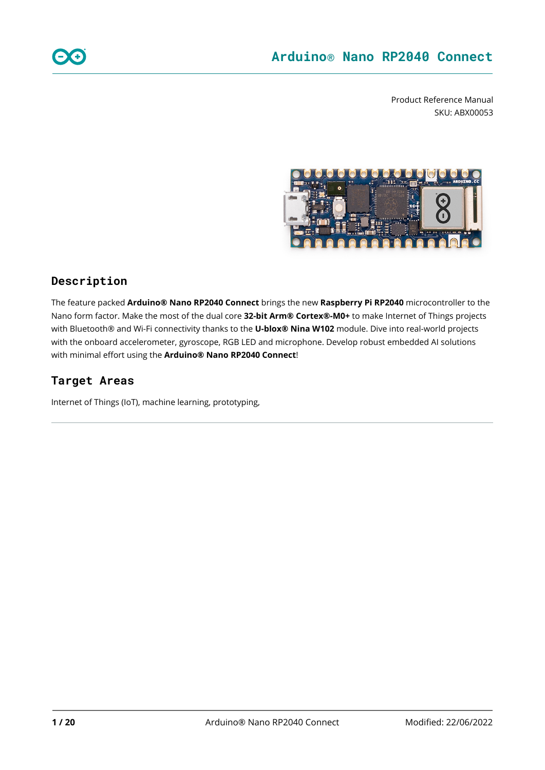Product Reference Manual SKU: ABX00053



### **Description**

The feature packed **Arduino® Nano RP2040 Connect** brings the new **Raspberry Pi RP2040** microcontroller to the Nano form factor. Make the most of the dual core **32-bit Arm® Cortex®-M0+** to make Internet of Things projects with Bluetooth® and Wi-Fi connectivity thanks to the **U-blox® Nina W102** module. Dive into real-world projects with the onboard accelerometer, gyroscope, RGB LED and microphone. Develop robust embedded AI solutions with minimal effort using the **Arduino® Nano RP2040 Connect**!

### **Target Areas**

Internet of Things (IoT), machine learning, prototyping,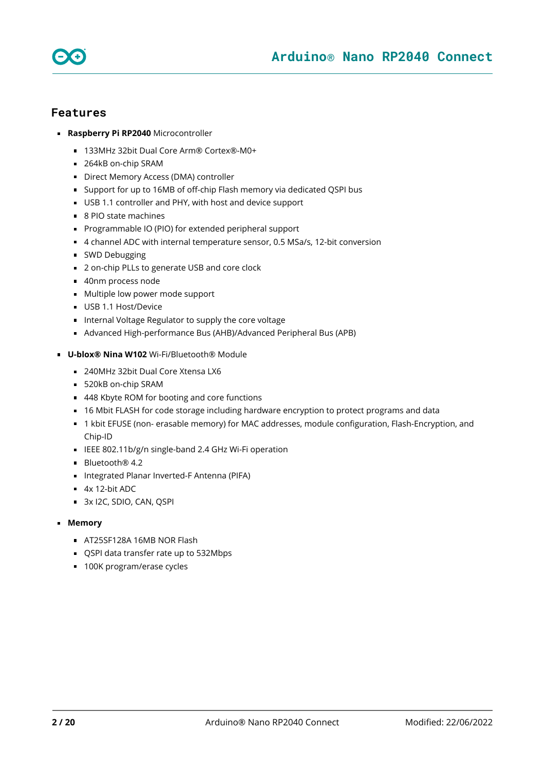



### **Features**

- **Raspberry Pi RP2040** Microcontroller
	- 133MHz 32bit Dual Core Arm® Cortex®-M0+
	- 264kB on-chip SRAM
	- Direct Memory Access (DMA) controller
	- Support for up to 16MB of off-chip Flash memory via dedicated QSPI bus
	- USB 1.1 controller and PHY, with host and device support
	- 8 PIO state machines
	- **Programmable IO (PIO) for extended peripheral support**
	- 4 channel ADC with internal temperature sensor, 0.5 MSa/s, 12-bit conversion
	- **SWD Debugging**
	- 2 on-chip PLLs to generate USB and core clock
	- 40nm process node
	- **Multiple low power mode support**
	- USB 1.1 Host/Device
	- Internal Voltage Regulator to supply the core voltage
	- Advanced High-performance Bus (AHB)/Advanced Peripheral Bus (APB)
- **U-blox® Nina W102** Wi-Fi/Bluetooth® Module
	- 240MHz 32bit Dual Core Xtensa LX6
	- 520kB on-chip SRAM
	- 448 Kbyte ROM for booting and core functions
	- 16 Mbit FLASH for code storage including hardware encryption to protect programs and data
	- 1 kbit EFUSE (non- erasable memory) for MAC addresses, module configuration, Flash-Encryption, and Chip-ID
	- IEEE 802.11b/g/n single-band 2.4 GHz Wi-Fi operation
	- Bluetooth<sup>®</sup> 4.2
	- Integrated Planar Inverted-F Antenna (PIFA)
	- $4x$  12-bit ADC
	- 3x I2C, SDIO, CAN, QSPI
- **Memory**
	- **AT25SF128A 16MB NOR Flash**
	- QSPI data transfer rate up to 532Mbps
	- 100K program/erase cycles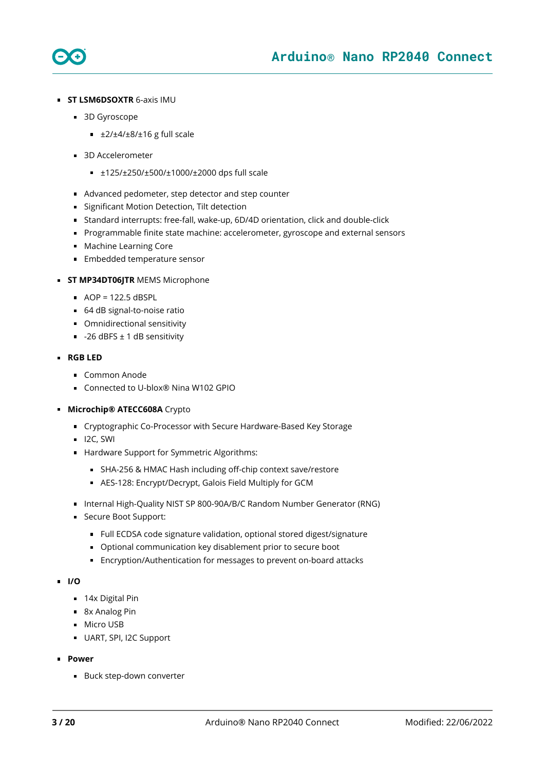

- **ST LSM6DSOXTR** 6-axis IMU
	- 3D Gyroscope
		- $\pm 2/±4/±8/±16$  g full scale
	- 3D Accelerometer
		- ±125/±250/±500/±1000/±2000 dps full scale
	- Advanced pedometer, step detector and step counter
	- **Significant Motion Detection, Tilt detection**
	- Standard interrupts: free-fall, wake-up, 6D/4D orientation, click and double-click
	- **Programmable finite state machine: accelerometer, gyroscope and external sensors**
	- **Machine Learning Core**
	- **Embedded temperature sensor**
- **ST MP34DT06JTR MEMS Microphone** 
	- $\blacksquare$  AOP = 122.5 dBSPL
	- 64 dB signal-to-noise ratio
	- **Omnidirectional sensitivity**
	- $-26$  dBFS  $\pm$  1 dB sensitivity

#### **RGB LED**

- Common Anode
- Connected to U-blox<sup>®</sup> Nina W102 GPIO
- **Microchip® ATECC608A** Crypto
	- Cryptographic Co-Processor with Secure Hardware-Based Key Storage
	- $\blacksquare$  I2C, SWI
	- Hardware Support for Symmetric Algorithms:
		- SHA-256 & HMAC Hash including off-chip context save/restore
		- AES-128: Encrypt/Decrypt, Galois Field Multiply for GCM
	- Internal High-Quality NIST SP 800-90A/B/C Random Number Generator (RNG)
	- Secure Boot Support:
		- Full ECDSA code signature validation, optional stored digest/signature
		- Optional communication key disablement prior to secure boot
		- Encryption/Authentication for messages to prevent on-board attacks

#### **I/O**

- 14x Digital Pin
- 8x Analog Pin
- **Micro USB**
- UART, SPI, I2C Support
- **Power**
	- **Buck step-down converter**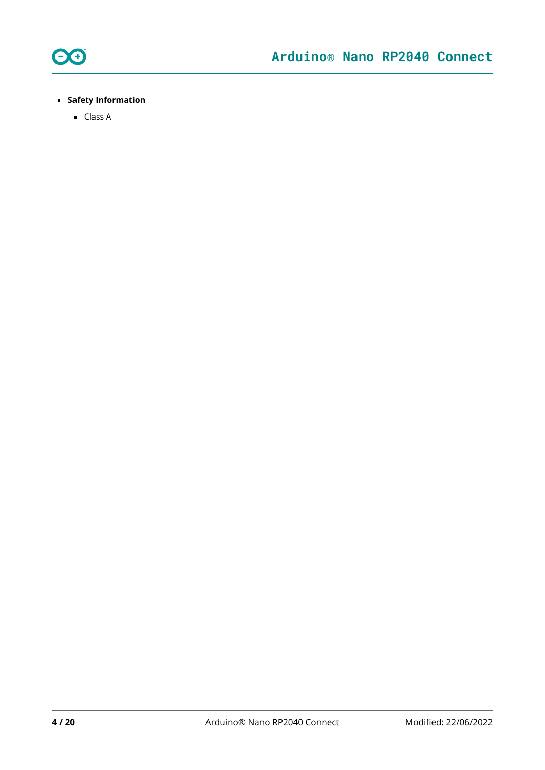

### **Safety Information**

■ Class A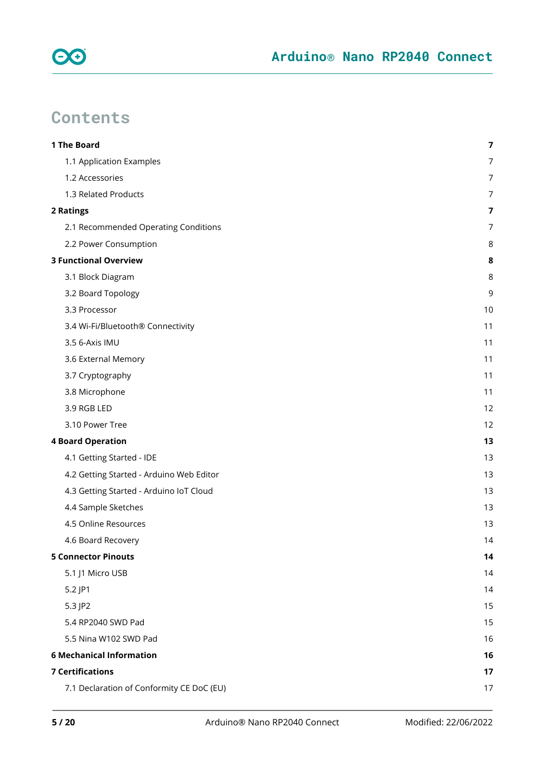

# **Contents**

| 1 The Board                               | $\overline{\mathbf{z}}$ |
|-------------------------------------------|-------------------------|
| 1.1 Application Examples                  | 7                       |
| 1.2 Accessories                           | 7                       |
| 1.3 Related Products                      | 7                       |
| 2 Ratings                                 | 7                       |
| 2.1 Recommended Operating Conditions      | 7                       |
| 2.2 Power Consumption                     | 8                       |
| <b>3 Functional Overview</b>              | 8                       |
| 3.1 Block Diagram                         | 8                       |
| 3.2 Board Topology                        | 9                       |
| 3.3 Processor                             | 10                      |
| 3.4 Wi-Fi/Bluetooth® Connectivity         | 11                      |
| 3.5 6-Axis IMU                            | 11                      |
| 3.6 External Memory                       | 11                      |
| 3.7 Cryptography                          | 11                      |
| 3.8 Microphone                            | 11                      |
| 3.9 RGB LED                               | 12                      |
| 3.10 Power Tree                           | 12                      |
| <b>4 Board Operation</b>                  | 13                      |
| 4.1 Getting Started - IDE                 | 13                      |
| 4.2 Getting Started - Arduino Web Editor  | 13                      |
| 4.3 Getting Started - Arduino IoT Cloud   | 13                      |
| 4.4 Sample Sketches                       | 13                      |
| 4.5 Online Resources                      | 13                      |
| 4.6 Board Recovery                        | 14                      |
| <b>5 Connector Pinouts</b>                | 14                      |
| 5.1 J1 Micro USB                          | 14                      |
| 5.2 JP1                                   | 14                      |
| 5.3 JP2                                   | 15                      |
| 5.4 RP2040 SWD Pad                        | 15                      |
| 5.5 Nina W102 SWD Pad                     | 16                      |
| <b>6 Mechanical Information</b>           | 16                      |
| <b>7 Certifications</b>                   | 17                      |
| 7.1 Declaration of Conformity CE DoC (EU) | 17                      |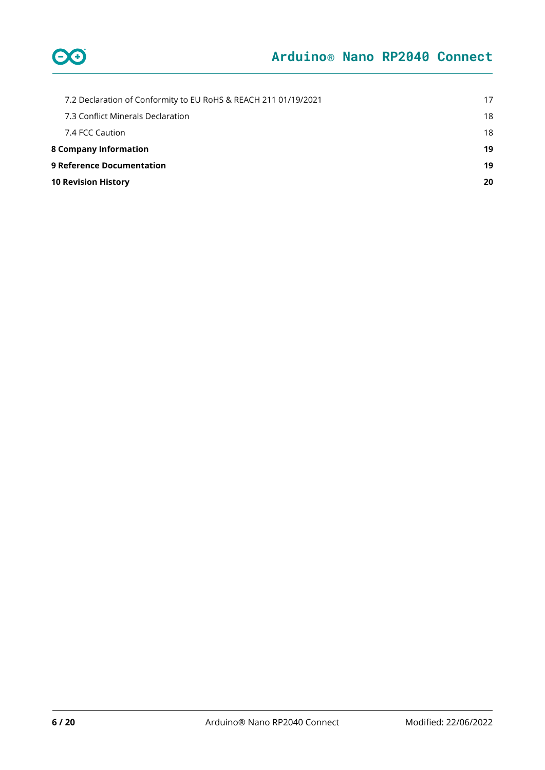

| 7.2 Declaration of Conformity to EU RoHS & REACH 211 01/19/2021 | 17 |
|-----------------------------------------------------------------|----|
| 7.3 Conflict Minerals Declaration                               | 18 |
| 7.4 FCC Caution                                                 | 18 |
| <b>8 Company Information</b>                                    | 19 |
| <b>9 Reference Documentation</b>                                | 19 |
| <b>10 Revision History</b>                                      | 20 |
|                                                                 |    |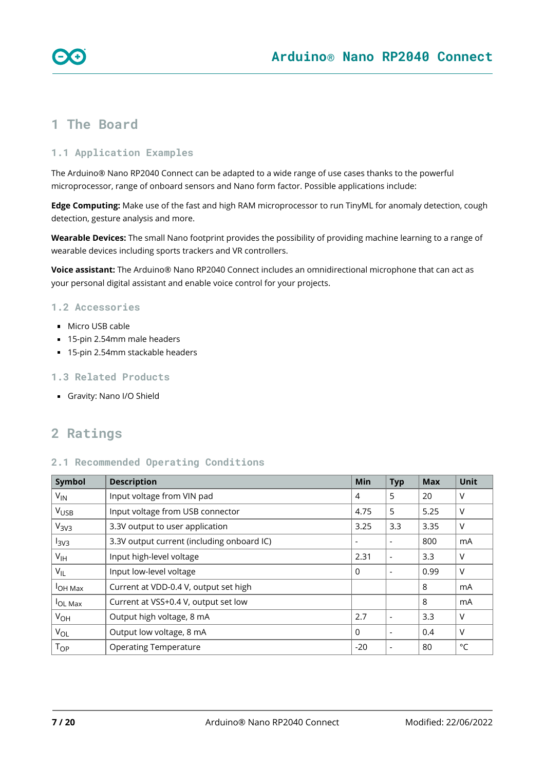

### <span id="page-6-0"></span>**1 The Board**

### <span id="page-6-1"></span>**1.1 Application Examples**

The Arduino® Nano RP2040 Connect can be adapted to a wide range of use cases thanks to the powerful microprocessor, range of onboard sensors and Nano form factor. Possible applications include:

**Edge Computing:** Make use of the fast and high RAM microprocessor to run TinyML for anomaly detection, cough detection, gesture analysis and more.

**Wearable Devices:** The small Nano footprint provides the possibility of providing machine learning to a range of wearable devices including sports trackers and VR controllers.

**Voice assistant:** The Arduino® Nano RP2040 Connect includes an omnidirectional microphone that can act as your personal digital assistant and enable voice control for your projects.

### <span id="page-6-2"></span>**1.2 Accessories**

- **Micro USB cable**
- 15-pin 2.54mm male headers
- 15-pin 2.54mm stackable headers

### <span id="page-6-3"></span>**1.3 Related Products**

[Gravity: Nano I/O Shield](https://store.arduino.cc/gravity-shield-arduino-nano)

### <span id="page-6-4"></span>**2 Ratings**

### <span id="page-6-5"></span>**2.1 Recommended Operating Conditions**

| Symbol                                                 | <b>Description</b>                         | Min                          | <b>Typ</b>               | <b>Max</b> | Unit   |
|--------------------------------------------------------|--------------------------------------------|------------------------------|--------------------------|------------|--------|
| $V_{IN}$                                               | Input voltage from VIN pad                 | 4                            | 5                        | 20         | ν      |
| <b>V<sub>USB</sub></b>                                 | Input voltage from USB connector           | 4.75                         | 5                        | 5.25       | V      |
| V <sub>3V3</sub>                                       | 3.3V output to user application            | 3.25                         | 3.3                      | 3.35       | ٧      |
| I <sub>3V3</sub>                                       | 3.3V output current (including onboard IC) | $\qquad \qquad \blacksquare$ |                          | 800        | mA     |
| Input high-level voltage<br>V <sub>IH</sub>            |                                            | 2.31                         |                          | 3.3        | ٧      |
| $V_{IL}$                                               | Input low-level voltage                    |                              |                          | 0.99       | V      |
| Current at VDD-0.4 V, output set high<br><b>OH Max</b> |                                            |                              |                          | 8          | mA     |
| <b>OL Max</b>                                          | Current at VSS+0.4 V, output set low       |                              |                          | 8          | mA     |
| $V_{OH}$                                               | Output high voltage, 8 mA                  |                              |                          | 3.3        | $\vee$ |
| $V_{OL}$                                               | Output low voltage, 8 mA                   |                              |                          | 0.4        | V      |
| $T_{OP}$                                               | <b>Operating Temperature</b>               | $-20$                        | $\overline{\phantom{0}}$ | 80         | °C     |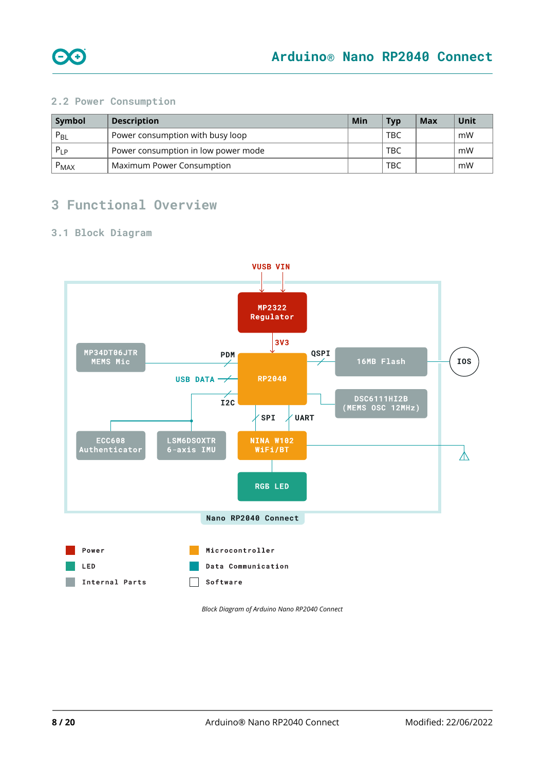

### <span id="page-7-0"></span>**2.2 Power Consumption**

| Symbol    | <b>Description</b>                  | Min | <b>Typ</b> | Max | Unit |
|-----------|-------------------------------------|-----|------------|-----|------|
| $P_{BL}$  | Power consumption with busy loop    |     | TBC        |     | mW   |
| $P_{LP}$  | Power consumption in low power mode |     | TBC        |     | mW   |
| $P_{MAX}$ | Maximum Power Consumption           |     | TBC        |     | mW   |

### <span id="page-7-1"></span>**3 Functional Overview**

### <span id="page-7-2"></span>**3.1 Block Diagram**



*Block Diagram of Arduino Nano RP2040 Connect*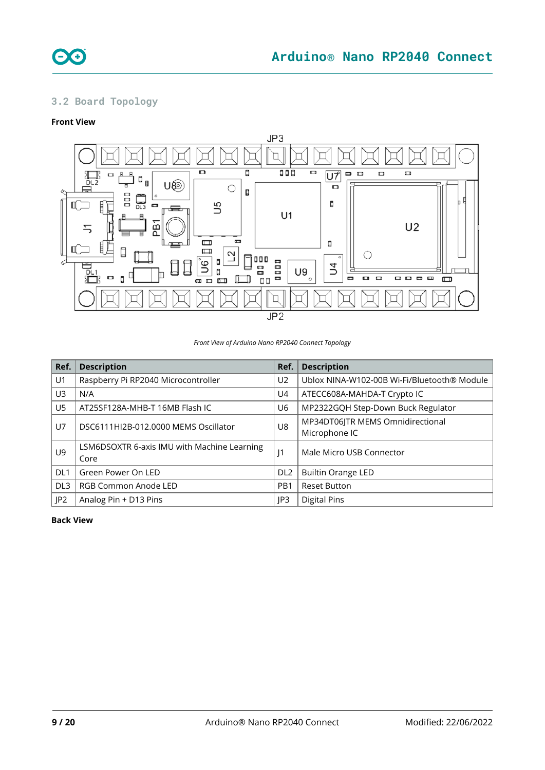

### <span id="page-8-0"></span>**3.2 Board Topology**

### **Front View**



*Front View of Arduino Nano RP2040 Connect Topology*

| Ref.            | <b>Description</b>                                  | Ref.            | <b>Description</b>                                |
|-----------------|-----------------------------------------------------|-----------------|---------------------------------------------------|
| U1              | Raspberry Pi RP2040 Microcontroller                 | U <sub>2</sub>  | Ublox NINA-W102-00B Wi-Fi/Bluetooth® Module       |
| U3              | N/A                                                 | U4              | ATECC608A-MAHDA-T Crypto IC                       |
| U <sub>5</sub>  | AT25SF128A-MHB-T 16MB Flash IC                      | U6              | MP2322GQH Step-Down Buck Regulator                |
| U7              | DSC6111HI2B-012.0000 MEMS Oscillator                | U8              | MP34DT06JTR MEMS Omnidirectional<br>Microphone IC |
| U9              | LSM6DSOXTR 6-axis IMU with Machine Learning<br>Core | J1              | Male Micro USB Connector                          |
| DL <sub>1</sub> | Green Power On LED                                  | DL <sub>2</sub> | <b>Builtin Orange LED</b>                         |
| DL <sub>3</sub> | RGB Common Anode LED                                | PB <sub>1</sub> | <b>Reset Button</b>                               |
| P2              | Analog Pin + D13 Pins                               | IP3             | <b>Digital Pins</b>                               |

### **Back View**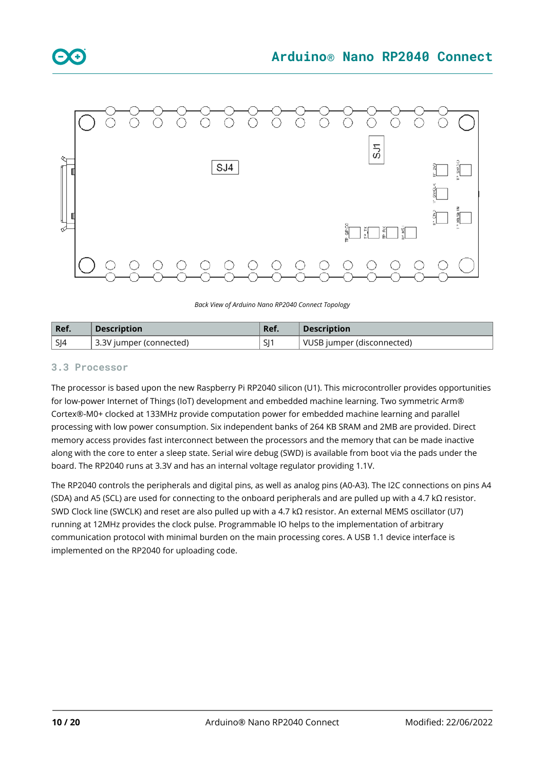

*Back View of Arduino Nano RP2040 Connect Topology*

| Ref | <b>Description</b>      | Ref. | <b>Description</b>         |
|-----|-------------------------|------|----------------------------|
| SJ4 | 3.3V jumper (connected) | SI1  | VUSB jumper (disconnected) |

### <span id="page-9-0"></span>**3.3 Processor**

The processor is based upon the new Raspberry Pi RP2040 silicon (U1). This microcontroller provides opportunities for low-power Internet of Things (IoT) development and embedded machine learning. Two symmetric Arm® Cortex®-M0+ clocked at 133MHz provide computation power for embedded machine learning and parallel processing with low power consumption. Six independent banks of 264 KB SRAM and 2MB are provided. Direct memory access provides fast interconnect between the processors and the memory that can be made inactive along with the core to enter a sleep state. Serial wire debug (SWD) is available from boot via the pads under the board. The RP2040 runs at 3.3V and has an internal voltage regulator providing 1.1V.

The RP2040 controls the peripherals and digital pins, as well as analog pins (A0-A3). The I2C connections on pins A4 (SDA) and A5 (SCL) are used for connecting to the onboard peripherals and are pulled up with a 4.7 kΩ resistor. SWD Clock line (SWCLK) and reset are also pulled up with a 4.7 kΩ resistor. An external MEMS oscillator (U7) running at 12MHz provides the clock pulse. Programmable IO helps to the implementation of arbitrary communication protocol with minimal burden on the main processing cores. A USB 1.1 device interface is implemented on the RP2040 for uploading code.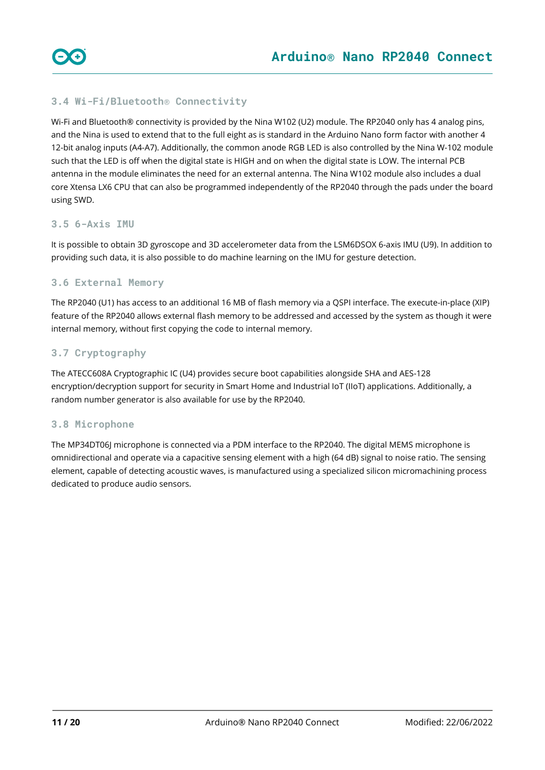### <span id="page-10-0"></span>**3.4 Wi-Fi/Bluetooth® Connectivity**

Wi-Fi and Bluetooth® connectivity is provided by the Nina W102 (U2) module. The RP2040 only has 4 analog pins, and the Nina is used to extend that to the full eight as is standard in the Arduino Nano form factor with another 4 12-bit analog inputs (A4-A7). Additionally, the common anode RGB LED is also controlled by the Nina W-102 module such that the LED is off when the digital state is HIGH and on when the digital state is LOW. The internal PCB antenna in the module eliminates the need for an external antenna. The Nina W102 module also includes a dual core Xtensa LX6 CPU that can also be programmed independently of the RP2040 through the pads under the board using SWD.

### <span id="page-10-1"></span>**3.5 6-Axis IMU**

It is possible to obtain 3D gyroscope and 3D accelerometer data from the LSM6DSOX 6-axis IMU (U9). In addition to providing such data, it is also possible to do machine learning on the IMU for gesture detection.

### <span id="page-10-2"></span>**3.6 External Memory**

The RP2040 (U1) has access to an additional 16 MB of flash memory via a QSPI interface. The execute-in-place (XIP) feature of the RP2040 allows external flash memory to be addressed and accessed by the system as though it were internal memory, without first copying the code to internal memory.

### <span id="page-10-3"></span>**3.7 Cryptography**

The ATECC608A Cryptographic IC (U4) provides secure boot capabilities alongside SHA and AES-128 encryption/decryption support for security in Smart Home and Industrial IoT (IIoT) applications. Additionally, a random number generator is also available for use by the RP2040.

### <span id="page-10-4"></span>**3.8 Microphone**

The MP34DT06J microphone is connected via a PDM interface to the RP2040. The digital MEMS microphone is omnidirectional and operate via a capacitive sensing element with a high (64 dB) signal to noise ratio. The sensing element, capable of detecting acoustic waves, is manufactured using a specialized silicon micromachining process dedicated to produce audio sensors.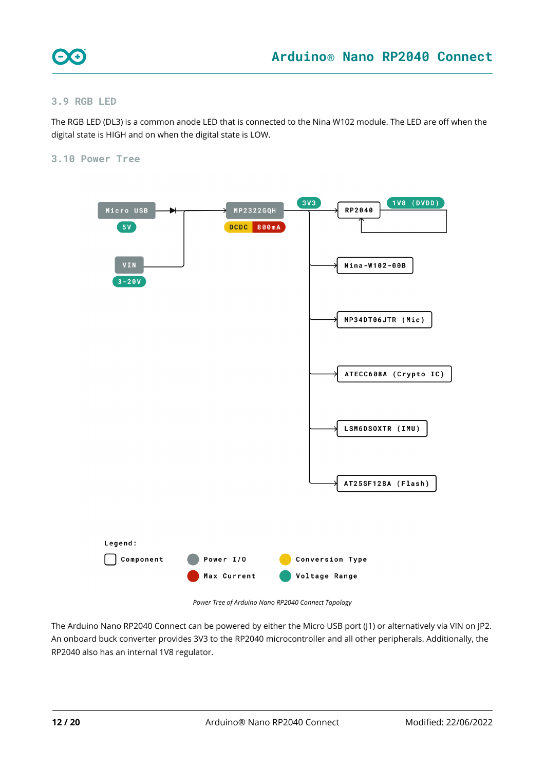

### <span id="page-11-0"></span>**3.9 RGB LED**

The RGB LED (DL3) is a common anode LED that is connected to the Nina W102 module. The LED are off when the digital state is HIGH and on when the digital state is LOW.

### <span id="page-11-1"></span>**3.10 Power Tree**



*Power Tree of Arduino Nano RP2040 Connect Topology*

The Arduino Nano RP2040 Connect can be powered by either the Micro USB port (J1) or alternatively via VIN on JP2. An onboard buck converter provides 3V3 to the RP2040 microcontroller and all other peripherals. Additionally, the RP2040 also has an internal 1V8 regulator.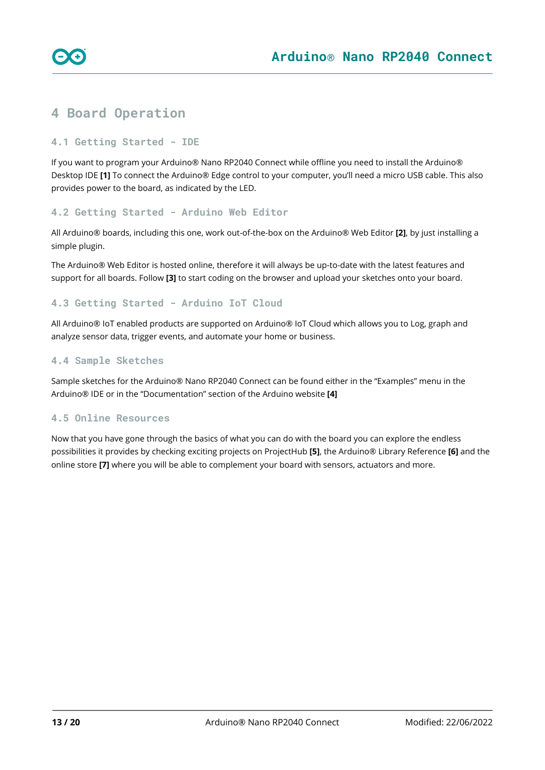

### <span id="page-12-0"></span>**4 Board Operation**

### <span id="page-12-1"></span>**4.1 Getting Started - IDE**

If you want to program your Arduino® Nano RP2040 Connect while offline you need to install the Arduino® Desktop IDE **[1]** To connect the Arduino® Edge control to your computer, you'll need a micro USB cable. This also provides power to the board, as indicated by the LED.

### <span id="page-12-2"></span>**4.2 Getting Started - Arduino Web Editor**

All Arduino® boards, including this one, work out-of-the-box on the Arduino® Web Editor **[2]**, by just installing a simple plugin.

The Arduino® Web Editor is hosted online, therefore it will always be up-to-date with the latest features and support for all boards. Follow **[3]** to start coding on the browser and upload your sketches onto your board.

### <span id="page-12-3"></span>**4.3 Getting Started - Arduino IoT Cloud**

All Arduino® IoT enabled products are supported on Arduino® IoT Cloud which allows you to Log, graph and analyze sensor data, trigger events, and automate your home or business.

### <span id="page-12-4"></span>**4.4 Sample Sketches**

Sample sketches for the Arduino® Nano RP2040 Connect can be found either in the "Examples" menu in the Arduino® IDE or in the "Documentation" section of the Arduino website **[4]**

### <span id="page-12-5"></span>**4.5 Online Resources**

Now that you have gone through the basics of what you can do with the board you can explore the endless possibilities it provides by checking exciting projects on ProjectHub **[5]**, the Arduino® Library Reference **[6]** and the online store **[7]** where you will be able to complement your board with sensors, actuators and more.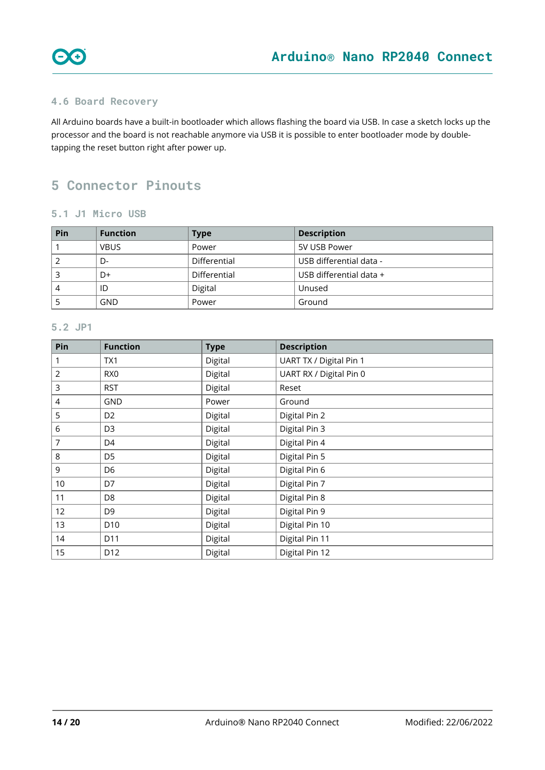

### <span id="page-13-0"></span>**4.6 Board Recovery**

All Arduino boards have a built-in bootloader which allows flashing the board via USB. In case a sketch locks up the processor and the board is not reachable anymore via USB it is possible to enter bootloader mode by doubletapping the reset button right after power up.

### <span id="page-13-1"></span>**Connector Pinouts**

### <span id="page-13-2"></span>**5.1 J1 Micro USB**

| Pin | <b>Function</b> | <b>Type</b>  | <b>Description</b>      |
|-----|-----------------|--------------|-------------------------|
|     | VBUS            | Power        | 5V USB Power            |
|     | D-              | Differential | USB differential data - |
|     | D+              | Differential | USB differential data + |
| 4   | ID              | Digital      | Unused                  |
|     | GND             | Power        | Ground                  |

### <span id="page-13-3"></span>**5.2 JP1**

| Pin             | <b>Function</b> | <b>Type</b> | <b>Description</b>      |
|-----------------|-----------------|-------------|-------------------------|
|                 | TX1             | Digital     | UART TX / Digital Pin 1 |
| 2               | RX <sub>0</sub> | Digital     | UART RX / Digital Pin 0 |
| 3               | <b>RST</b>      | Digital     | Reset                   |
| 4               | GND             | Power       | Ground                  |
| 5               | D <sub>2</sub>  | Digital     | Digital Pin 2           |
| 6               | D <sub>3</sub>  | Digital     | Digital Pin 3           |
| 7               | D <sub>4</sub>  | Digital     | Digital Pin 4           |
| 8               | D <sub>5</sub>  | Digital     | Digital Pin 5           |
| 9               | D <sub>6</sub>  | Digital     | Digital Pin 6           |
| 10 <sub>1</sub> | D7              | Digital     | Digital Pin 7           |
| 11              | D <sub>8</sub>  | Digital     | Digital Pin 8           |
| 12              | D <sub>9</sub>  | Digital     | Digital Pin 9           |
| 13              | D <sub>10</sub> | Digital     | Digital Pin 10          |
| 14              | D <sub>11</sub> | Digital     | Digital Pin 11          |
| 15              | D <sub>12</sub> | Digital     | Digital Pin 12          |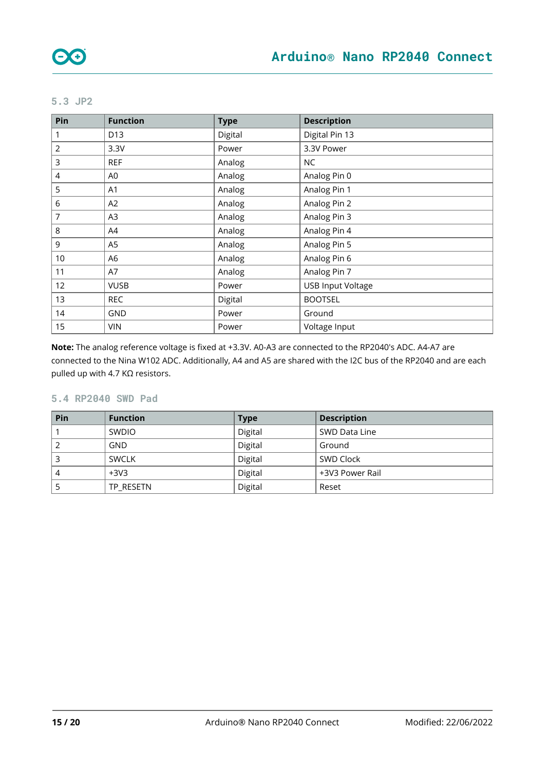### <span id="page-14-0"></span>**5.3 JP2**

| Pin            | <b>Function</b> | <b>Type</b> | <b>Description</b>       |
|----------------|-----------------|-------------|--------------------------|
|                | D <sub>13</sub> | Digital     | Digital Pin 13           |
| $\overline{2}$ | 3.3V            | Power       | 3.3V Power               |
| 3              | <b>REF</b>      | Analog      | <b>NC</b>                |
| 4              | A0              | Analog      | Analog Pin 0             |
| 5              | A1              | Analog      | Analog Pin 1             |
| 6              | A2              | Analog      | Analog Pin 2             |
| 7              | A3              | Analog      | Analog Pin 3             |
| 8              | A4              | Analog      | Analog Pin 4             |
| 9              | A5              | Analog      | Analog Pin 5             |
| 10             | A6              | Analog      | Analog Pin 6             |
| 11             | A7              | Analog      | Analog Pin 7             |
| 12             | <b>VUSB</b>     | Power       | <b>USB Input Voltage</b> |
| 13             | <b>REC</b>      | Digital     | <b>BOOTSEL</b>           |
| 14             | <b>GND</b>      | Power       | Ground                   |
| 15             | <b>VIN</b>      | Power       | Voltage Input            |

**Note:** The analog reference voltage is fixed at +3.3V. A0-A3 are connected to the RP2040's ADC. A4-A7 are connected to the Nina W102 ADC. Additionally, A4 and A5 are shared with the I2C bus of the RP2040 and are each pulled up with 4.7 KΩ resistors.

### <span id="page-14-1"></span>**5.4 RP2040 SWD Pad**

| Pin | <b>Function</b> | <b>Type</b> | <b>Description</b> |
|-----|-----------------|-------------|--------------------|
|     | <b>SWDIO</b>    | Digital     | SWD Data Line      |
|     | <b>GND</b>      | Digital     | Ground             |
|     | <b>SWCLK</b>    | Digital     | SWD Clock          |
|     | $+3V3$          | Digital     | +3V3 Power Rail    |
|     | TP RESETN       | Digital     | Reset              |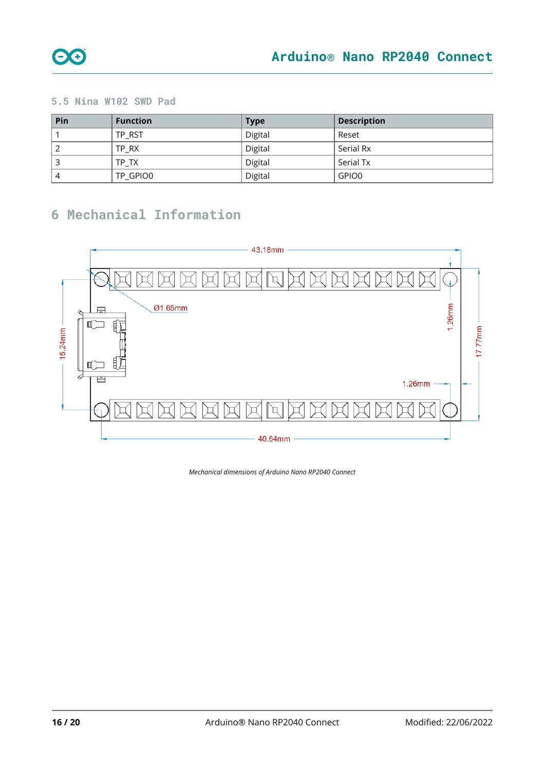

### <span id="page-15-0"></span>**5.5 Nina W102 SWD Pad**

| Pin | <b>Function</b> | <b>Type</b> | <b>Description</b> |
|-----|-----------------|-------------|--------------------|
|     | TP RST          | Digital     | Reset              |
|     | TP RX           | Digital     | Serial Rx          |
|     | TP TX           | Digital     | Serial Tx          |
| 4   | TP GPIO0        | Digital     | GPIO0              |

## <span id="page-15-1"></span>**6 Mechanical Information**



*Mechanical dimensions of Arduino Nano RP2040 Connect*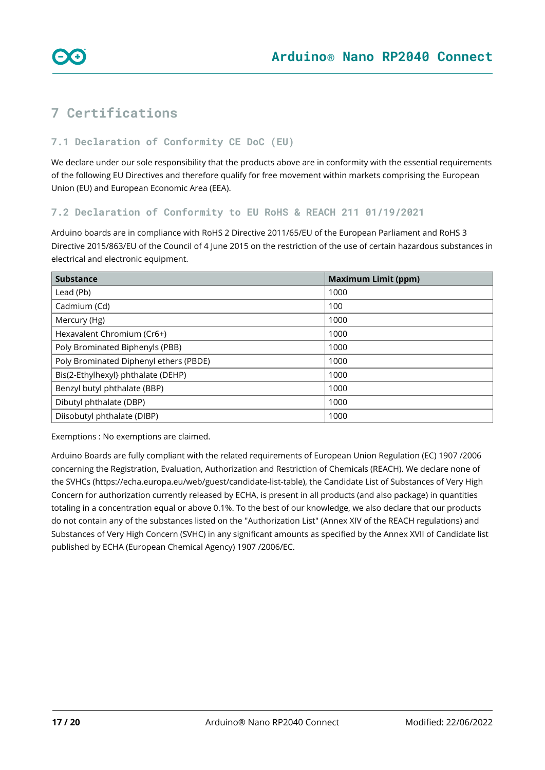

<span id="page-16-0"></span>

### <span id="page-16-1"></span>**7.1 Declaration of Conformity CE DoC (EU)**

We declare under our sole responsibility that the products above are in conformity with the essential requirements of the following EU Directives and therefore qualify for free movement within markets comprising the European Union (EU) and European Economic Area (EEA).

#### <span id="page-16-2"></span>**7.2 Declaration of Conformity to EU RoHS & REACH 211 01/19/2021**

Arduino boards are in compliance with RoHS 2 Directive 2011/65/EU of the European Parliament and RoHS 3 Directive 2015/863/EU of the Council of 4 June 2015 on the restriction of the use of certain hazardous substances in electrical and electronic equipment.

| <b>Substance</b>                       | <b>Maximum Limit (ppm)</b> |
|----------------------------------------|----------------------------|
| Lead (Pb)                              | 1000                       |
| Cadmium (Cd)                           | 100                        |
| Mercury (Hg)                           | 1000                       |
| Hexavalent Chromium (Cr6+)             | 1000                       |
| Poly Brominated Biphenyls (PBB)        | 1000                       |
| Poly Brominated Diphenyl ethers (PBDE) | 1000                       |
| Bis(2-Ethylhexyl} phthalate (DEHP)     | 1000                       |
| Benzyl butyl phthalate (BBP)           | 1000                       |
| Dibutyl phthalate (DBP)                | 1000                       |
| Diisobutyl phthalate (DIBP)            | 1000                       |

Exemptions : No exemptions are claimed.

Arduino Boards are fully compliant with the related requirements of European Union Regulation (EC) 1907 /2006 concerning the Registration, Evaluation, Authorization and Restriction of Chemicals (REACH). We declare none of the SVHCs (<https://echa.europa.eu/web/guest/candidate-list-table>), the Candidate List of Substances of Very High Concern for authorization currently released by ECHA, is present in all products (and also package) in quantities totaling in a concentration equal or above 0.1%. To the best of our knowledge, we also declare that our products do not contain any of the substances listed on the "Authorization List" (Annex XIV of the REACH regulations) and Substances of Very High Concern (SVHC) in any significant amounts as specified by the Annex XVII of Candidate list published by ECHA (European Chemical Agency) 1907 /2006/EC.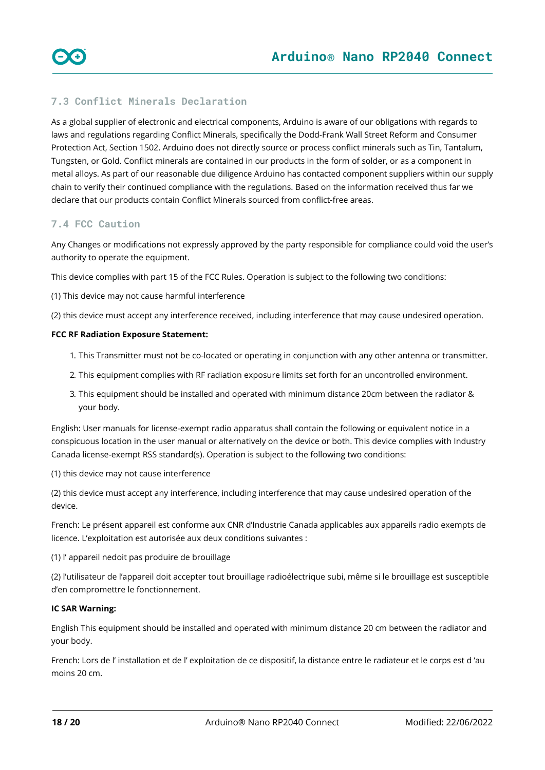### <span id="page-17-0"></span>**7.3 Conflict Minerals Declaration**

As a global supplier of electronic and electrical components, Arduino is aware of our obligations with regards to laws and regulations regarding Conflict Minerals, specifically the Dodd-Frank Wall Street Reform and Consumer Protection Act, Section 1502. Arduino does not directly source or process conflict minerals such as Tin, Tantalum, Tungsten, or Gold. Conflict minerals are contained in our products in the form of solder, or as a component in metal alloys. As part of our reasonable due diligence Arduino has contacted component suppliers within our supply chain to verify their continued compliance with the regulations. Based on the information received thus far we declare that our products contain Conflict Minerals sourced from conflict-free areas.

### <span id="page-17-1"></span>**7.4 FCC Caution**

Any Changes or modifications not expressly approved by the party responsible for compliance could void the user's authority to operate the equipment.

This device complies with part 15 of the FCC Rules. Operation is subject to the following two conditions:

(1) This device may not cause harmful interference

(2) this device must accept any interference received, including interference that may cause undesired operation.

#### **FCC RF Radiation Exposure Statement:**

- 1. This Transmitter must not be co-located or operating in conjunction with any other antenna or transmitter.
- 2. This equipment complies with RF radiation exposure limits set forth for an uncontrolled environment.
- 3. This equipment should be installed and operated with minimum distance 20cm between the radiator & your body.

English: User manuals for license-exempt radio apparatus shall contain the following or equivalent notice in a conspicuous location in the user manual or alternatively on the device or both. This device complies with Industry Canada license-exempt RSS standard(s). Operation is subject to the following two conditions:

(1) this device may not cause interference

(2) this device must accept any interference, including interference that may cause undesired operation of the device.

French: Le présent appareil est conforme aux CNR d'Industrie Canada applicables aux appareils radio exempts de licence. L'exploitation est autorisée aux deux conditions suivantes :

(1) l' appareil nedoit pas produire de brouillage

(2) l'utilisateur de l'appareil doit accepter tout brouillage radioélectrique subi, même si le brouillage est susceptible d'en compromettre le fonctionnement.

#### **IC SAR Warning:**

English This equipment should be installed and operated with minimum distance 20 cm between the radiator and your body.

French: Lors de l' installation et de l' exploitation de ce dispositif, la distance entre le radiateur et le corps est d 'au moins 20 cm.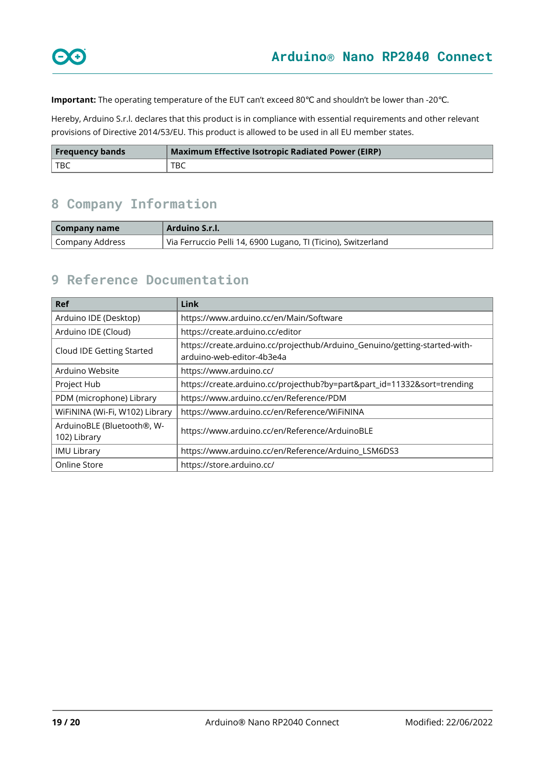**Important:** The operating temperature of the EUT can't exceed 80℃ and shouldn't be lower than -20℃.

Hereby, Arduino S.r.l. declares that this product is in compliance with essential requirements and other relevant provisions of Directive 2014/53/EU. This product is allowed to be used in all EU member states.

| <b>Frequency bands</b> | Maximum Effective Isotropic Radiated Power (EIRP) |  |
|------------------------|---------------------------------------------------|--|
| l tbc                  | TBC                                               |  |

# <span id="page-18-0"></span>**8 Company Information**

| Company name    | Arduino S.r.l.                                                |  |
|-----------------|---------------------------------------------------------------|--|
| Company Address | Via Ferruccio Pelli 14, 6900 Lugano, TI (Ticino), Switzerland |  |

### <span id="page-18-1"></span>**9 Reference Documentation**

| <b>Ref</b>                                 | <b>Link</b>                                                                                             |  |
|--------------------------------------------|---------------------------------------------------------------------------------------------------------|--|
| Arduino IDE (Desktop)                      | https://www.arduino.cc/en/Main/Software                                                                 |  |
| Arduino IDE (Cloud)                        | https://create.arduino.cc/editor                                                                        |  |
| Cloud IDE Getting Started                  | https://create.arduino.cc/projecthub/Arduino_Genuino/getting-started-with-<br>arduino-web-editor-4b3e4a |  |
| Arduino Website                            | https://www.arduino.cc/                                                                                 |  |
| Project Hub                                | https://create.arduino.cc/projecthub?by=part∂_id=11332&sort=trending                                    |  |
| PDM (microphone) Library                   | https://www.arduino.cc/en/Reference/PDM                                                                 |  |
| WiFiNINA (Wi-Fi, W102) Library             | https://www.arduino.cc/en/Reference/WiFiNINA                                                            |  |
| ArduinoBLE (Bluetooth®, W-<br>102) Library | https://www.arduino.cc/en/Reference/ArduinoBLE                                                          |  |
| <b>IMU Library</b>                         | https://www.arduino.cc/en/Reference/Arduino_LSM6DS3                                                     |  |
| Online Store                               | https://store.arduino.cc/                                                                               |  |